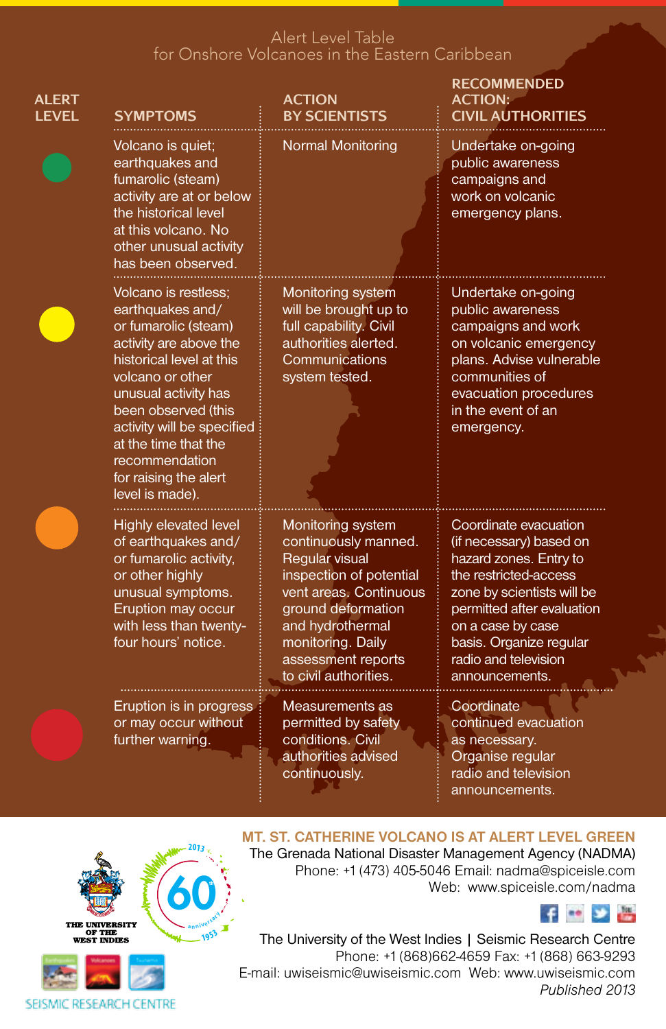# Alert Level Table for Onshore Volcanoes in the Eastern Caribbean

| ALERT<br><b>LEVEL</b> | <b>SYMPTOMS</b>                                                                                                                                                                                                                                                                                               | <b>ACTION</b><br><b>BY SCIENTISTS</b>                                                                                                                                                                                          | <b>RECOMMENDED</b><br><b>ACTION:</b><br><b>CIVIL AUTHORITIES</b>                                                                                                                                                                                          |
|-----------------------|---------------------------------------------------------------------------------------------------------------------------------------------------------------------------------------------------------------------------------------------------------------------------------------------------------------|--------------------------------------------------------------------------------------------------------------------------------------------------------------------------------------------------------------------------------|-----------------------------------------------------------------------------------------------------------------------------------------------------------------------------------------------------------------------------------------------------------|
|                       | Volcano is quiet;<br>earthquakes and<br>fumarolic (steam)<br>activity are at or below<br>the historical level<br>at this volcano. No<br>other unusual activity<br>has been observed.                                                                                                                          | Normal Monitoring                                                                                                                                                                                                              | Undertake on-going<br>public awareness<br>campaigns and<br>work on volcanic<br>emergency plans.                                                                                                                                                           |
|                       | Volcano is restless:<br>earthquakes and/<br>or fumarolic (steam)<br>activity are above the<br>historical level at this<br>volcano or other<br>unusual activity has<br>been observed (this<br>activity will be specified<br>at the time that the<br>recommendation<br>for raising the alert<br>level is made). | Monitoring system<br>will be brought up to<br>full capability. Civil<br>authorities alerted.<br>Communications<br>system tested.                                                                                               | Undertake on-going<br>public awareness<br>campaigns and work<br>on volcanic emergency<br>plans. Advise vulnerable<br>communities of<br>evacuation procedures<br>in the event of an<br>emergency.                                                          |
|                       | Highly elevated level<br>of earthquakes and/<br>or fumarolic activity,<br>or other highly<br>unusual symptoms.<br>Eruption may occur<br>with less than twenty-<br>four hours' notice.                                                                                                                         | Monitoring system<br>continuously manned.<br>Regular visual<br>inspection of potential<br>vent areas. Continuous<br>ground deformation<br>and hydrothermal<br>monitoring. Daily<br>assessment reports<br>to civil authorities. | Coordinate evacuation<br>(if necessary) based on<br>hazard zones. Entry to<br>the restricted-access<br>zone by scientists will be<br>permitted after evaluation<br>on a case by case<br>basis. Organize regular<br>radio and television<br>announcements. |
|                       | Eruption is in progress<br>or may occur without<br>further warning.                                                                                                                                                                                                                                           | Measurements as<br>permitted by safety<br>conditions. Civil<br>authorities advised<br>continuously.                                                                                                                            | Coordinate<br>continued evacuation<br>as necessary.<br>Organise regular<br>radio and television<br>announcements.                                                                                                                                         |





# **Mt. St. Catherine volcano is at alert level green**

The Grenada National Disaster Management Agency (NADMA) Phone: +1 (473) 405-5046 Email: nadma@spiceisle.com Web: www.spiceisle.com/nadma



The University of the West Indies | Seismic Research Centre Phone: +1 (868)662-4659 Fax: +1 (868) 663-9293 E-mail: uwiseismic@uwiseismic.com Web: www.uwiseismic.com *Published 2013*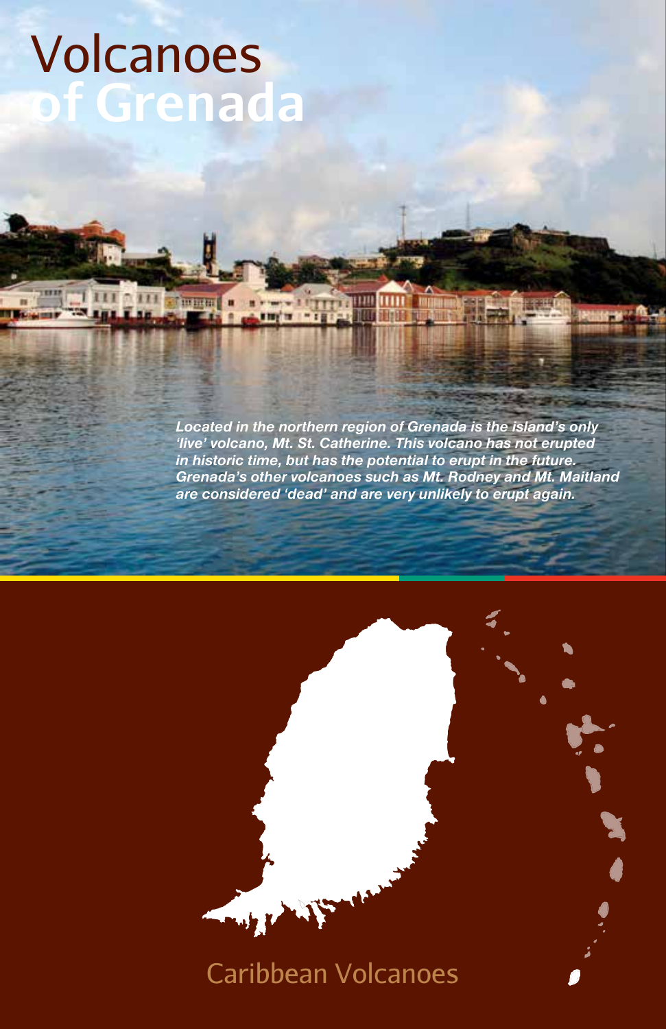# Volcanoes **of Grenada**

٠

*Located in the northern region of Grenada is the island's only 'live' volcano, Mt. St. Catherine. This volcano has not erupted in historic time, but has the potential to erupt in the future. Grenada's other volcanoes such as Mt. Rodney and Mt. Maitland are considered 'dead' and are very unlikely to erupt again.*

**The William William** 

# $w$  ,  $\chi$ Caribbean Volcanoes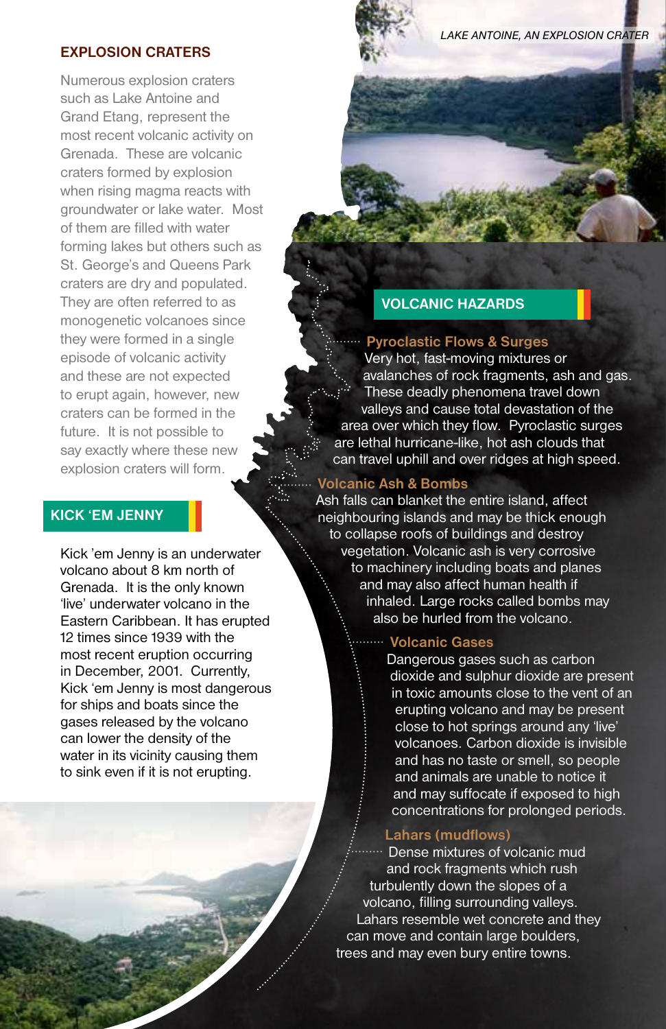#### **EXPLOSION CRATERS**

Numerous explosion craters such as Lake Antoine and Grand Etang, represent the most recent volcanic activity on Grenada. These are volcanic craters formed by explosion when rising magma reacts with groundwater or lake water. Most of them are filled with water forming lakes but others such as St. George's and Queens Park craters are dry and populated. They are often referred to as monogenetic volcanoes since they were formed in a single episode of volcanic activity and these are not expected to erupt again, however, new craters can be formed in the future. It is not possible to say exactly where these new explosion craters will form.

#### **Kick 'em Jenny**

Kick 'em Jenny is an underwater volcano about 8 km north of Grenada. It is the only known 'live' underwater volcano in the Eastern Caribbean. It has erupted 12 times since 1939 with the most recent eruption occurring in December, 2001. Currently, Kick 'em Jenny is most dangerous for ships and boats since the gases released by the volcano can lower the density of the water in its vicinity causing them to sink even if it is not erupting.

*Lake Antoine, an explosion crater*

# **VOLCANIC HAZARDS**

#### **Pyroclastic Flows & Surges**

Very hot, fast-moving mixtures or avalanches of rock fragments, ash and gas. These deadly phenomena travel down valleys and cause total devastation of the area over which they flow. Pyroclastic surges are lethal hurricane-like, hot ash clouds that can travel uphill and over ridges at high speed.

#### **Volcanic Ash & Bombs**

Ash falls can blanket the entire island, affect neighbouring islands and may be thick enough to collapse roofs of buildings and destroy vegetation. Volcanic ash is very corrosive to machinery including boats and planes and may also affect human health if inhaled. Large rocks called bombs may also be hurled from the volcano.

# **Volcanic Gases**

Dangerous gases such as carbon dioxide and sulphur dioxide are present in toxic amounts close to the vent of an erupting volcano and may be present close to hot springs around any 'live' volcanoes. Carbon dioxide is invisible and has no taste or smell, so people and animals are unable to notice it and may suffocate if exposed to high concentrations for prolonged periods.

#### **Lahars (mudflows)**

Dense mixtures of volcanic mud and rock fragments which rush turbulently down the slopes of a volcano, filling surrounding valleys. Lahars resemble wet concrete and they can move and contain large boulders, trees and may even bury entire towns.